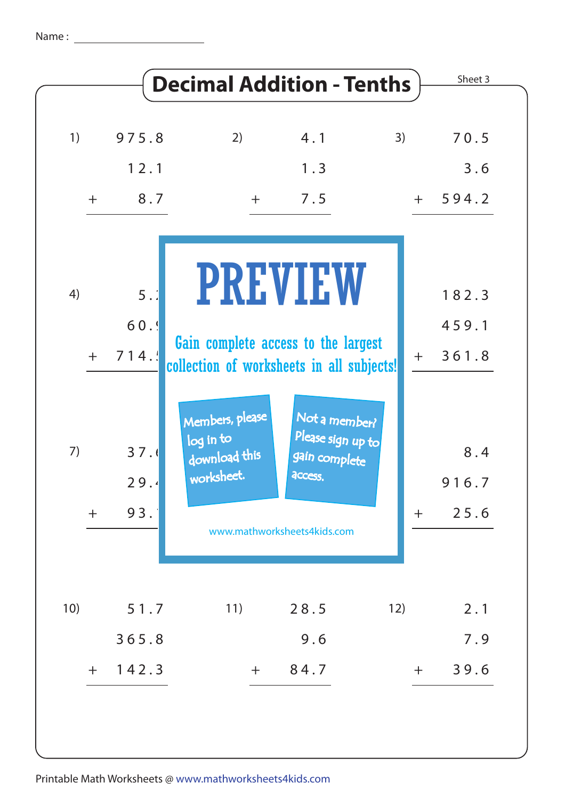| 1)  | 975.8        | 2)                                                                               | 4.1                                                            | 3)  | 70.5         |
|-----|--------------|----------------------------------------------------------------------------------|----------------------------------------------------------------|-----|--------------|
|     | 12.1         |                                                                                  | 1.3                                                            |     | 3.6          |
| $+$ | 8.7          | $+$                                                                              | 7.5                                                            |     | $+ 594.2$    |
| 4)  | 5:           |                                                                                  | <b>PREVIEW</b>                                                 |     | 182.3        |
|     | 60.9         |                                                                                  |                                                                |     | 459.1        |
|     | $+ 714.$     | Gain complete access to the largest<br>collection of worksheets in all subjects! |                                                                | $+$ | 361.8        |
| 7)  | 37.6<br>29.4 | Members, please<br>log in to<br>download this<br>worksheet.                      | Not a member?<br>Please sign up to<br>gain complete<br>access. |     | 8.4<br>916.7 |
| $+$ | 93.          | www.mathworksheets4kids.com                                                      |                                                                | $+$ | 25.6         |
|     |              |                                                                                  |                                                                |     |              |
| 10) | 51.7         | 11)                                                                              | 28.5                                                           | 12) | 2.1          |
|     | 365.8        |                                                                                  | 9.6                                                            |     | 7.9          |
| $+$ | 142.3        | $+$                                                                              | 84.7                                                           | $+$ | 39.6         |